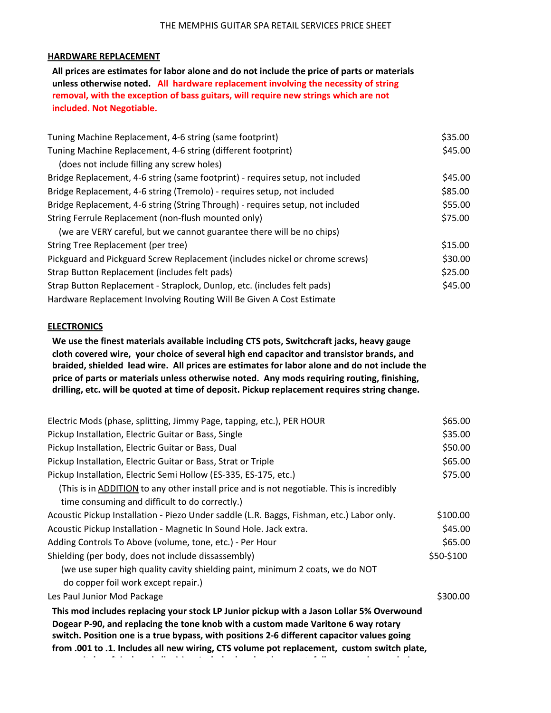## **HARDWARE REPLACEMENT**

All prices are estimates for labor alone and do not include the price of parts or materials unless otherwise noted. All hardware replacement involving the necessity of string removal, with the exception of bass guitars, will require new strings which are not **included. Not Negotiable.** 

| Tuning Machine Replacement, 4-6 string (same footprint)                        | \$35.00 |
|--------------------------------------------------------------------------------|---------|
| Tuning Machine Replacement, 4-6 string (different footprint)                   | \$45.00 |
| (does not include filling any screw holes)                                     |         |
| Bridge Replacement, 4-6 string (same footprint) - requires setup, not included | \$45.00 |
| Bridge Replacement, 4-6 string (Tremolo) - requires setup, not included        | \$85.00 |
| Bridge Replacement, 4-6 string (String Through) - requires setup, not included | \$55.00 |
| String Ferrule Replacement (non-flush mounted only)                            | \$75.00 |
| (we are VERY careful, but we cannot guarantee there will be no chips)          |         |
| String Tree Replacement (per tree)                                             | \$15.00 |
| Pickguard and Pickguard Screw Replacement (includes nickel or chrome screws)   | \$30.00 |
| Strap Button Replacement (includes felt pads)                                  | \$25.00 |
| Strap Button Replacement - Straplock, Dunlop, etc. (includes felt pads)        | \$45.00 |
| Hardware Replacement Involving Routing Will Be Given A Cost Estimate           |         |

## **ELECTRONICS**

We use the finest materials available including CTS pots, Switchcraft jacks, heavy gauge cloth covered wire, your choice of several high end capacitor and transistor brands, and braided, shielded lead wire. All prices are estimates for labor alone and do not include the price of parts or materials unless otherwise noted. Any mods requiring routing, finishing, drilling, etc. will be quoted at time of deposit. Pickup replacement requires string change.

| Electric Mods (phase, splitting, Jimmy Page, tapping, etc.), PER HOUR                                                                                                           | \$65.00    |
|---------------------------------------------------------------------------------------------------------------------------------------------------------------------------------|------------|
| Pickup Installation, Electric Guitar or Bass, Single                                                                                                                            | \$35.00    |
| Pickup Installation, Electric Guitar or Bass, Dual                                                                                                                              | \$50.00    |
| Pickup Installation, Electric Guitar or Bass, Strat or Triple                                                                                                                   | \$65.00    |
| Pickup Installation, Electric Semi Hollow (ES-335, ES-175, etc.)                                                                                                                | \$75.00    |
| (This is in ADDITION to any other install price and is not negotiable. This is incredibly                                                                                       |            |
| time consuming and difficult to do correctly.)                                                                                                                                  |            |
| Acoustic Pickup Installation - Piezo Under saddle (L.R. Baggs, Fishman, etc.) Labor only.                                                                                       | \$100.00   |
| Acoustic Pickup Installation - Magnetic In Sound Hole. Jack extra.                                                                                                              | \$45.00    |
| Adding Controls To Above (volume, tone, etc.) - Per Hour                                                                                                                        | \$65.00    |
| Shielding (per body, does not include dissassembly)                                                                                                                             | \$50-\$100 |
| (we use super high quality cavity shielding paint, minimum 2 coats, we do NOT                                                                                                   |            |
| do copper foil work except repair.)                                                                                                                                             |            |
| Les Paul Junior Mod Package                                                                                                                                                     | \$300.00   |
| This mod includes replacing your stock LP Junior pickup with a Jason Lollar 5% Overwound                                                                                        |            |
| Dogear P-90, and replacing the tone knob with a custom made Varitone 6 way rotary<br>switch. Position one is a true bypass, with positions 2-6 different capacitor values going |            |
| from .001 to .1. Includes all new wiring, CTS volume pot replacement, custom switch plate,                                                                                      |            |

**new switchcraft wire and all wire sure of the state of the state of the state of the state of the state of the**